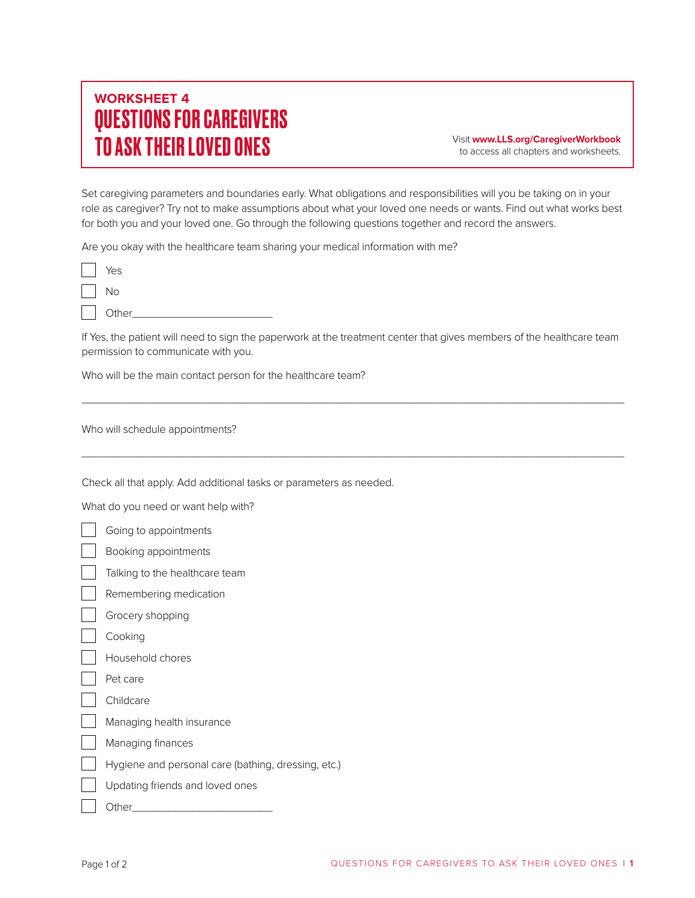## **WORKSHEET 4** QUESTIONS FOR CAREGIVERS TO ASK THEIR LOVED ONES Visit **www.LLS.org/CaregiverWorkbook**

to access all chapters and worksheets.

Set caregiving parameters and boundaries early. What obligations and responsibilities will you be taking on in your role as caregiver? Try not to make assumptions about what your loved one needs or wants. Find out what works best for both you and your loved one. Go through the following questions together and record the answers.

Are you okay with the healthcare team sharing your medical information with me?

|              | Yes   |
|--------------|-------|
| $\mathbb{R}$ | No    |
|              | Other |

If Yes, the patient will need to sign the paperwork at the treatment center that gives members of the healthcare team permission to communicate with you.

\_\_\_\_\_\_\_\_\_\_\_\_\_\_\_\_\_\_\_\_\_\_\_\_\_\_\_\_\_\_\_\_\_\_\_\_\_\_\_\_\_\_\_\_\_\_\_\_\_\_\_\_\_\_\_\_\_\_\_\_\_\_\_\_\_\_\_\_\_\_\_\_\_\_\_\_\_\_\_\_\_\_\_\_\_\_\_\_\_

\_\_\_\_\_\_\_\_\_\_\_\_\_\_\_\_\_\_\_\_\_\_\_\_\_\_\_\_\_\_\_\_\_\_\_\_\_\_\_\_\_\_\_\_\_\_\_\_\_\_\_\_\_\_\_\_\_\_\_\_\_\_\_\_\_\_\_\_\_\_\_\_\_\_\_\_\_\_\_\_\_\_\_\_\_\_\_\_\_

Who will be the main contact person for the healthcare team?

Who will schedule appointments?

Check all that apply. Add additional tasks or parameters as needed.

What do you need or want help with?

| Going to appointments                               |
|-----------------------------------------------------|
| Booking appointments                                |
| Talking to the healthcare team                      |
| Remembering medication                              |
| Grocery shopping                                    |
| Cooking                                             |
| Household chores                                    |
| Pet care                                            |
| Childcare                                           |
| Managing health insurance                           |
| Managing finances                                   |
| Hygiene and personal care (bathing, dressing, etc.) |
| Updating friends and loved ones                     |
| Other                                               |